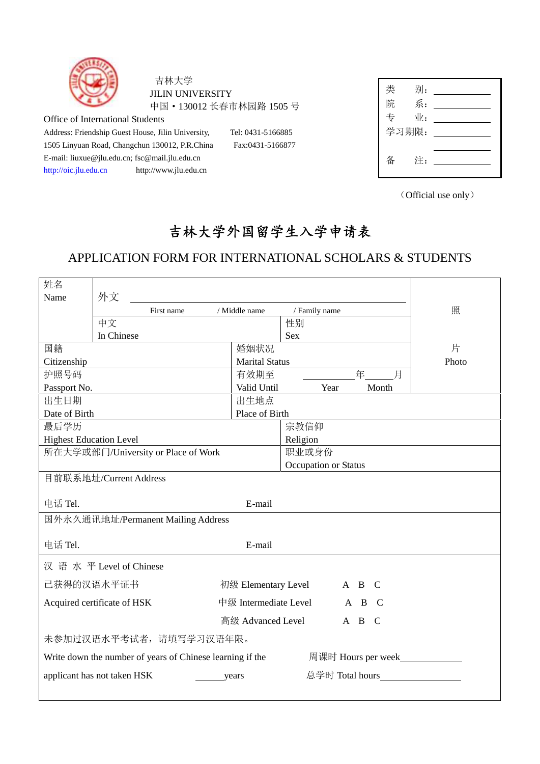

吉林大学 JILIN UNIVERSITY 中国·130012 长春市林园路 1505 号

Office of International Students

Address: Friendship Guest House, Jilin University, Tel: 0431-5166885 1505 Linyuan Road, Changchun 130012, P.R.China Fax:0431-5166877 E-mail: liuxue@jlu.edu.cn; fsc@mail.jlu.edu.cn http://oic.jlu.edu.cn http://www.jlu.edu.cn

| 类 | 别:              |  |
|---|-----------------|--|
| 院 | 系:              |  |
| 专 | $\mathcal{N}$ : |  |
|   | 学习期限:           |  |
|   |                 |  |
| 备 | 注:              |  |
|   |                 |  |

(Official use only)

## **吉林大学外国留学生入学申请表**

## APPLICATION FORM FOR INTERNATIONAL SCHOLARS & STUDENTS

| 姓名                                  |                                                           |                       |                      |                 |                                  |       |
|-------------------------------------|-----------------------------------------------------------|-----------------------|----------------------|-----------------|----------------------------------|-------|
| Name                                | 外文                                                        |                       |                      |                 |                                  |       |
|                                     | First name                                                | / Middle name         | / Family name        |                 |                                  | 照     |
|                                     | 中文                                                        |                       | 性别                   |                 |                                  |       |
|                                     | In Chinese                                                |                       | <b>Sex</b>           |                 |                                  |       |
| 国籍                                  |                                                           | 婚姻状况                  |                      |                 |                                  | 片     |
| Citizenship                         |                                                           | <b>Marital Status</b> |                      |                 |                                  | Photo |
| 护照号码                                |                                                           | 有效期至                  |                      |                 | 年<br>月                           |       |
| Passport No.                        |                                                           | Valid Until           | Year                 |                 | Month                            |       |
| 出生日期                                |                                                           | 出生地点                  |                      |                 |                                  |       |
| Date of Birth                       |                                                           | Place of Birth        |                      |                 |                                  |       |
| 最后学历                                |                                                           |                       | 宗教信仰                 |                 |                                  |       |
| <b>Highest Education Level</b>      |                                                           |                       | Religion             |                 |                                  |       |
| 所在大学或部门/University or Place of Work |                                                           |                       | 职业或身份                |                 |                                  |       |
|                                     | 目前联系地址/Current Address                                    |                       | Occupation or Status |                 |                                  |       |
|                                     |                                                           |                       |                      |                 |                                  |       |
| 电话 Tel.                             |                                                           | E-mail                |                      |                 |                                  |       |
|                                     | 国外永久通讯地址/Permanent Mailing Address                        |                       |                      |                 |                                  |       |
|                                     |                                                           |                       |                      |                 |                                  |       |
| 电话 Tel.                             |                                                           | E-mail                |                      |                 |                                  |       |
|                                     | 汉 语 水 平 Level of Chinese                                  |                       |                      |                 |                                  |       |
|                                     | 己获得的汉语水平证书                                                | 初级 Elementary Level   |                      | A B             | - C                              |       |
|                                     | Acquired certificate of HSK                               | 中级 Intermediate Level |                      |                 | A B C                            |       |
|                                     |                                                           | 高级 Advanced Level     |                      |                 | A B C                            |       |
|                                     | 未参加过汉语水平考试者, 请填写学习汉语年限。                                   |                       |                      |                 |                                  |       |
|                                     |                                                           |                       |                      |                 |                                  |       |
|                                     | Write down the number of years of Chinese learning if the |                       |                      |                 | 周课时 Hours per week______________ |       |
|                                     | applicant has not taken HSK                               | years                 |                      | 总学时 Total hours |                                  |       |